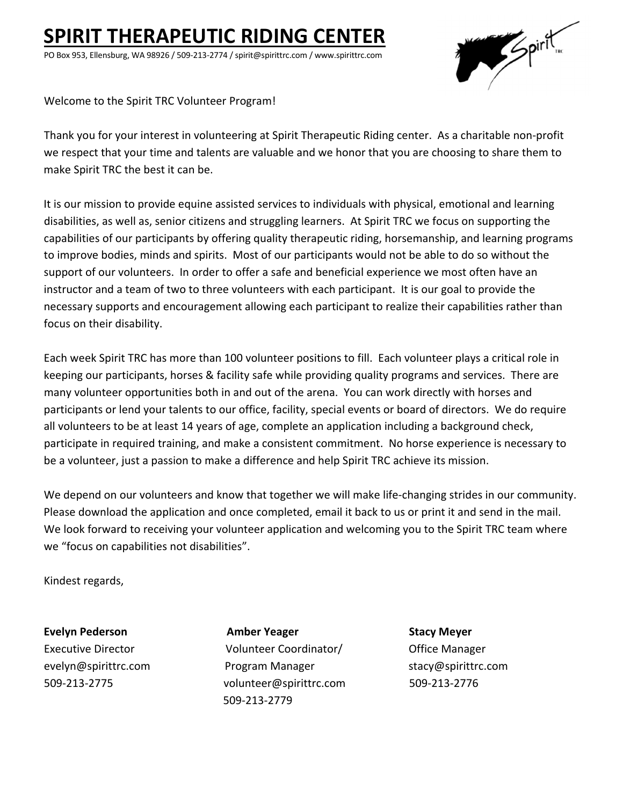# **SPIRIT THERAPEUTIC RIDING CENTER**

PO Box 953, Ellensburg, WA 98926 / 509‐213‐2774 / spirit@spirittrc.com / www.spirittrc.com



Welcome to the Spirit TRC Volunteer Program!

Thank you for your interest in volunteering at Spirit Therapeutic Riding center. As a charitable non‐profit we respect that your time and talents are valuable and we honor that you are choosing to share them to make Spirit TRC the best it can be.

It is our mission to provide equine assisted services to individuals with physical, emotional and learning disabilities, as well as, senior citizens and struggling learners. At Spirit TRC we focus on supporting the capabilities of our participants by offering quality therapeutic riding, horsemanship, and learning programs to improve bodies, minds and spirits. Most of our participants would not be able to do so without the support of our volunteers. In order to offer a safe and beneficial experience we most often have an instructor and a team of two to three volunteers with each participant. It is our goal to provide the necessary supports and encouragement allowing each participant to realize their capabilities rather than focus on their disability.

Each week Spirit TRC has more than 100 volunteer positions to fill. Each volunteer plays a critical role in keeping our participants, horses & facility safe while providing quality programs and services. There are many volunteer opportunities both in and out of the arena. You can work directly with horses and participants or lend your talents to our office, facility, special events or board of directors. We do require all volunteers to be at least 14 years of age, complete an application including a background check, participate in required training, and make a consistent commitment. No horse experience is necessary to be a volunteer, just a passion to make a difference and help Spirit TRC achieve its mission.

We depend on our volunteers and know that together we will make life-changing strides in our community. Please download the application and once completed, email it back to us or print it and send in the mail. We look forward to receiving your volunteer application and welcoming you to the Spirit TRC team where we "focus on capabilities not disabilities".

Kindest regards,

**Evelyn Pederson Amber Yeager Stacy Meyer** Executive Director Volunteer Coordinator/Office Manager evelyn@spirittrc.com Program Manager stacy@spirittrc.com 509‐213‐2775 volunteer@spirittrc.com 509‐213‐2776 509‐213‐2779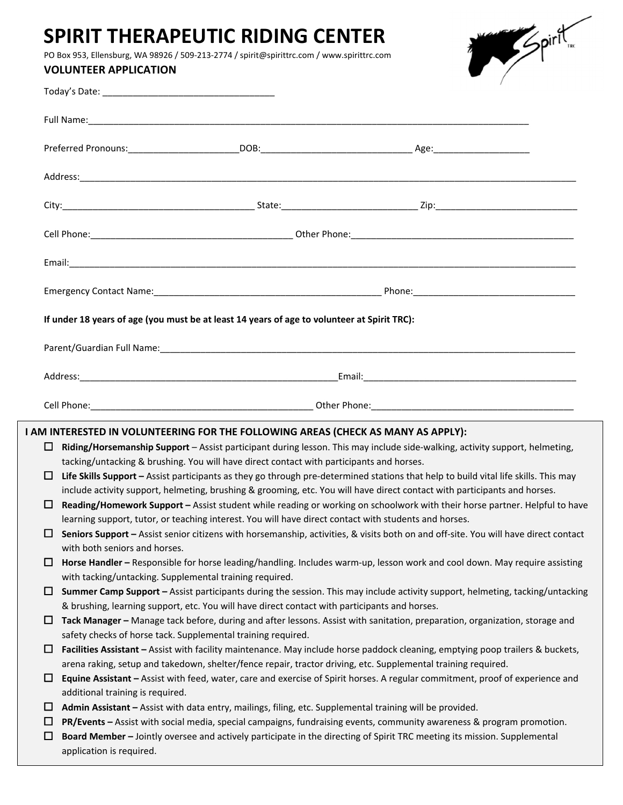## **SPIRIT THERAPEUTIC RIDING CENTER**

PO Box 953, Ellensburg, WA 98926 / 509‐213‐2774 / spirit@spirittrc.com / www.spirittrc.com

## **VOLUNTEER APPLICATION**

| hirĪ<br>TRC |
|-------------|
|-------------|

|        |                                                         | If under 18 years of age (you must be at least 14 years of age to volunteer at Spirit TRC):              |                                                                                                                                                                                                                                                 |  |
|--------|---------------------------------------------------------|----------------------------------------------------------------------------------------------------------|-------------------------------------------------------------------------------------------------------------------------------------------------------------------------------------------------------------------------------------------------|--|
|        |                                                         |                                                                                                          |                                                                                                                                                                                                                                                 |  |
|        |                                                         |                                                                                                          |                                                                                                                                                                                                                                                 |  |
|        |                                                         |                                                                                                          |                                                                                                                                                                                                                                                 |  |
|        |                                                         | I AM INTERESTED IN VOLUNTEERING FOR THE FOLLOWING AREAS (CHECK AS MANY AS APPLY):                        |                                                                                                                                                                                                                                                 |  |
| ப      |                                                         |                                                                                                          | Riding/Horsemanship Support - Assist participant during lesson. This may include side-walking, activity support, helmeting,                                                                                                                     |  |
|        |                                                         | tacking/untacking & brushing. You will have direct contact with participants and horses.                 |                                                                                                                                                                                                                                                 |  |
| $\Box$ |                                                         |                                                                                                          | Life Skills Support - Assist participants as they go through pre-determined stations that help to build vital life skills. This may                                                                                                             |  |
|        |                                                         |                                                                                                          | include activity support, helmeting, brushing & grooming, etc. You will have direct contact with participants and horses.                                                                                                                       |  |
| O      |                                                         |                                                                                                          | Reading/Homework Support - Assist student while reading or working on schoolwork with their horse partner. Helpful to have                                                                                                                      |  |
| ப      |                                                         | learning support, tutor, or teaching interest. You will have direct contact with students and horses.    | Seniors Support - Assist senior citizens with horsemanship, activities, & visits both on and off-site. You will have direct contact                                                                                                             |  |
|        | with both seniors and horses.                           |                                                                                                          |                                                                                                                                                                                                                                                 |  |
| $\Box$ |                                                         |                                                                                                          | Horse Handler - Responsible for horse leading/handling. Includes warm-up, lesson work and cool down. May require assisting                                                                                                                      |  |
|        | with tacking/untacking. Supplemental training required. |                                                                                                          |                                                                                                                                                                                                                                                 |  |
| $\Box$ |                                                         |                                                                                                          | Summer Camp Support - Assist participants during the session. This may include activity support, helmeting, tacking/untacking                                                                                                                   |  |
|        |                                                         | & brushing, learning support, etc. You will have direct contact with participants and horses.            |                                                                                                                                                                                                                                                 |  |
| o      |                                                         |                                                                                                          | Tack Manager - Manage tack before, during and after lessons. Assist with sanitation, preparation, organization, storage and                                                                                                                     |  |
|        |                                                         | safety checks of horse tack. Supplemental training required.                                             |                                                                                                                                                                                                                                                 |  |
| $\Box$ |                                                         |                                                                                                          | Facilities Assistant - Assist with facility maintenance. May include horse paddock cleaning, emptying poop trailers & buckets,<br>arena raking, setup and takedown, shelter/fence repair, tractor driving, etc. Supplemental training required. |  |
| $\Box$ |                                                         |                                                                                                          | Equine Assistant - Assist with feed, water, care and exercise of Spirit horses. A regular commitment, proof of experience and                                                                                                                   |  |
|        | additional training is required.                        |                                                                                                          |                                                                                                                                                                                                                                                 |  |
| ப      |                                                         | Admin Assistant - Assist with data entry, mailings, filing, etc. Supplemental training will be provided. |                                                                                                                                                                                                                                                 |  |
| $\Box$ |                                                         |                                                                                                          | PR/Events - Assist with social media, special campaigns, fundraising events, community awareness & program promotion.                                                                                                                           |  |
| $\Box$ |                                                         |                                                                                                          | Board Member - Jointly oversee and actively participate in the directing of Spirit TRC meeting its mission. Supplemental                                                                                                                        |  |
|        | application is required.                                |                                                                                                          |                                                                                                                                                                                                                                                 |  |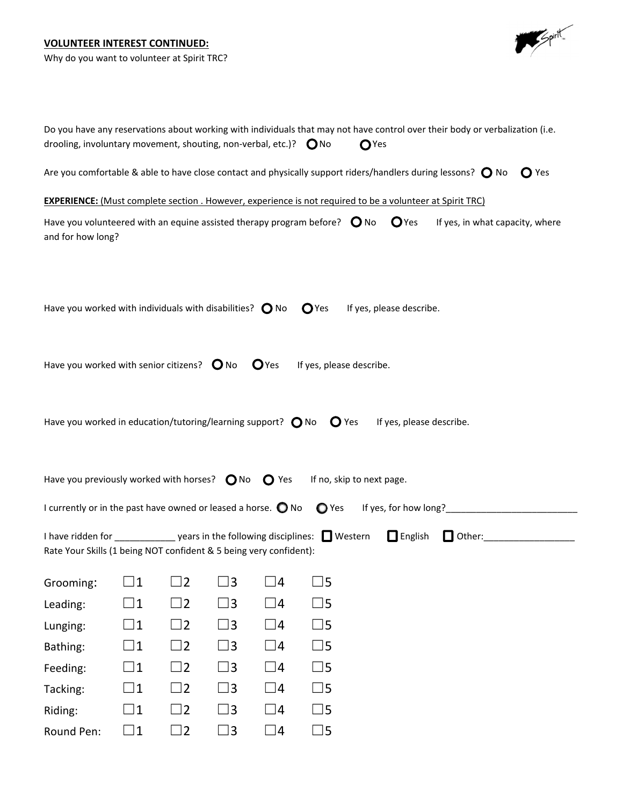## **VOLUNTEER INTEREST CONTINUED:**

Why do you want to volunteer at Spirit TRC?



| Do you have any reservations about working with individuals that may not have control over their body or verbalization (i.e.<br>drooling, involuntary movement, shouting, non-verbal, etc.)? $\bigcirc$ No<br>$\mathbf{O}$ Yes |             |             |             |                  |                                                                                                                                      |  |
|--------------------------------------------------------------------------------------------------------------------------------------------------------------------------------------------------------------------------------|-------------|-------------|-------------|------------------|--------------------------------------------------------------------------------------------------------------------------------------|--|
|                                                                                                                                                                                                                                |             |             |             |                  | Are you comfortable & able to have close contact and physically support riders/handlers during lessons? $\bigcirc$ No $\bigcirc$ Yes |  |
|                                                                                                                                                                                                                                |             |             |             |                  | <b>EXPERIENCE:</b> (Must complete section . However, experience is not required to be a volunteer at Spirit TRC)                     |  |
| Have you volunteered with an equine assisted therapy program before? $\bigcirc$ No $\bigcirc$ Yes<br>If yes, in what capacity, where<br>and for how long?                                                                      |             |             |             |                  |                                                                                                                                      |  |
|                                                                                                                                                                                                                                |             |             |             |                  |                                                                                                                                      |  |
| Have you worked with individuals with disabilities? $\bigcirc$ No                                                                                                                                                              |             |             |             |                  | If yes, please describe.<br>O <sub>Yes</sub>                                                                                         |  |
|                                                                                                                                                                                                                                |             |             |             |                  |                                                                                                                                      |  |
| Have you worked with senior citizens? $\bigcirc$ No                                                                                                                                                                            |             |             |             | O <sub>Yes</sub> | If yes, please describe.                                                                                                             |  |
|                                                                                                                                                                                                                                |             |             |             |                  |                                                                                                                                      |  |
| Have you worked in education/tutoring/learning support? $\bigcirc$ No $\bigcirc$ Yes                                                                                                                                           |             |             |             |                  | If yes, please describe.                                                                                                             |  |
|                                                                                                                                                                                                                                |             |             |             |                  |                                                                                                                                      |  |
| Have you previously worked with horses? $\bigcirc$ No $\bigcirc$ Yes                                                                                                                                                           |             |             |             |                  | If no, skip to next page.                                                                                                            |  |
| I currently or in the past have owned or leased a horse. $\bigcirc$ No                                                                                                                                                         |             |             |             |                  | $\mathbf{O}$ Yes                                                                                                                     |  |
| I have ridden for _______________ years in the following disciplines: I Western<br>Rate Your Skills (1 being NOT confident & 5 being very confident):                                                                          |             |             |             |                  | English Other: ________________                                                                                                      |  |
|                                                                                                                                                                                                                                |             |             |             |                  |                                                                                                                                      |  |
| Grooming:                                                                                                                                                                                                                      | $\Box$ 1    | $\square$ 2 | $\square$ 3 | $\Box$ 4         | $\square$ 5                                                                                                                          |  |
| Leading:                                                                                                                                                                                                                       | $\square$ 1 | $\square$ 2 | $\square$ 3 | $\square$ 4      | $\square$ 5                                                                                                                          |  |
| Lunging:                                                                                                                                                                                                                       | $\square$ 1 | $\square$ 2 | $\square$ 3 | $\square$ 4      | $\square$ 5                                                                                                                          |  |
| Bathing:                                                                                                                                                                                                                       | $\square$ 1 | $\square$ 2 | $\square$ 3 | $\square$ 4      | $\square$ 5                                                                                                                          |  |
| Feeding:                                                                                                                                                                                                                       | $\square$ 1 | $\square$ 2 | $\square$ 3 | $\square$ 4      | $\square$ 5                                                                                                                          |  |
| Tacking:                                                                                                                                                                                                                       | $\square$ 1 | $\square$ 2 | $\square$ 3 | $\square$ 4      | $\square$ 5                                                                                                                          |  |
| Riding:                                                                                                                                                                                                                        | $\square$ 1 | $\square$ 2 | $\square$ 3 | $\square$ 4      | $\square$ 5                                                                                                                          |  |
| Round Pen:                                                                                                                                                                                                                     | $\square$ 1 | $\square$ 2 | $\square$ 3 | $\Box$ 4         | $\square$ 5                                                                                                                          |  |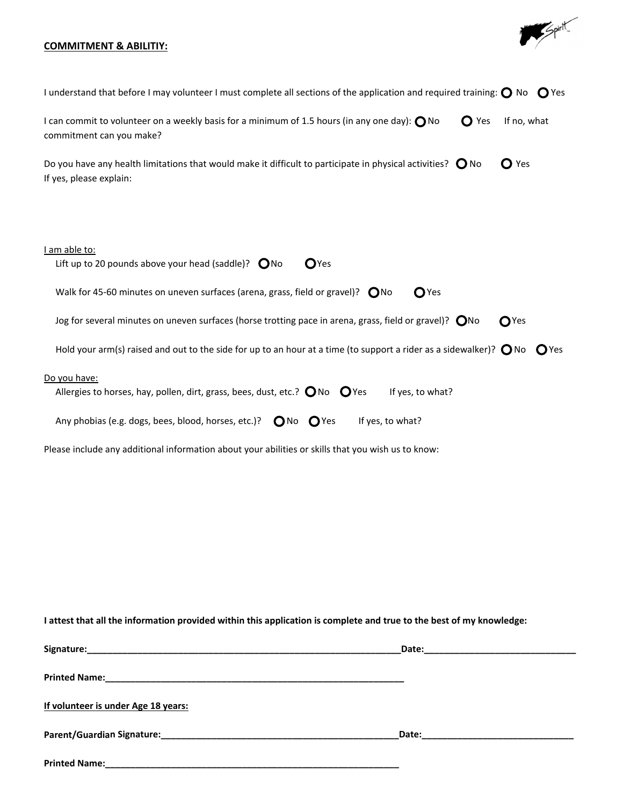## **COMMITMENT & ABILITIY:**



| I understand that before I may volunteer I must complete all sections of the application and required training: $\bigcirc$ No $\bigcirc$ Yes                                                                                                                                                                                                    |
|-------------------------------------------------------------------------------------------------------------------------------------------------------------------------------------------------------------------------------------------------------------------------------------------------------------------------------------------------|
| I can commit to volunteer on a weekly basis for a minimum of 1.5 hours (in any one day): $\bigcap$ No<br>$\mathbf{O}$ Yes<br>If no, what<br>commitment can you make?                                                                                                                                                                            |
| Do you have any health limitations that would make it difficult to participate in physical activities? $\bigcirc$ No<br>$\mathbf{O}$ Yes<br>If yes, please explain:                                                                                                                                                                             |
| I am able to:<br>Lift up to 20 pounds above your head (saddle)? $\bigcirc$ No<br>O <sub>Yes</sub><br>Walk for 45-60 minutes on uneven surfaces (arena, grass, field or gravel)? $\bigcirc$ No<br>O <sub>Yes</sub>                                                                                                                               |
| Jog for several minutes on uneven surfaces (horse trotting pace in arena, grass, field or gravel)? $\bigcirc$ No<br>$\mathbf{O}$ Yes                                                                                                                                                                                                            |
| Hold your arm(s) raised and out to the side for up to an hour at a time (to support a rider as a sidewalker)? $\bigcirc$ No $\bigcirc$ Yes                                                                                                                                                                                                      |
| Do you have:<br>Allergies to horses, hay, pollen, dirt, grass, bees, dust, etc.? $\bigcirc$ No $\bigcirc$ Yes<br>If yes, to what?<br>Any phobias (e.g. dogs, bees, blood, horses, etc.)? $\bigcirc$ No $\bigcirc$ Yes<br>If yes, to what?<br>Please include any additional information about your abilities or skills that you wish us to know: |
|                                                                                                                                                                                                                                                                                                                                                 |

I attest that all the information provided within this application is complete and true to the best of my knowledge:

|                                     | Date: | the contract of the contract of the contract of the contract of the contract of |
|-------------------------------------|-------|---------------------------------------------------------------------------------|
|                                     |       |                                                                                 |
| If volunteer is under Age 18 years: |       |                                                                                 |
|                                     |       |                                                                                 |
| <b>Printed Name:</b>                |       |                                                                                 |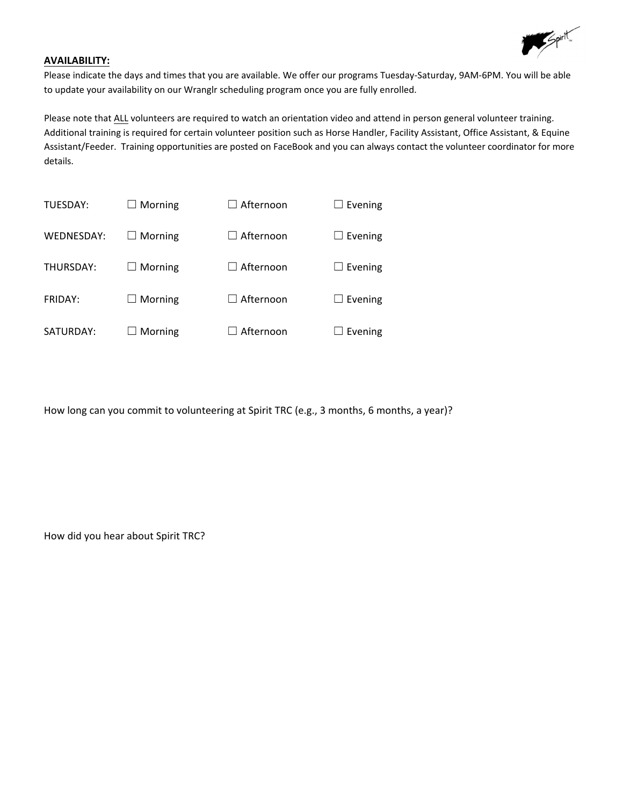

#### **AVAILABILITY:**

Please indicate the days and times that you are available. We offer our programs Tuesday‐Saturday, 9AM‐6PM. You will be able to update your availability on our Wranglr scheduling program once you are fully enrolled.

Please note that ALL volunteers are required to watch an orientation video and attend in person general volunteer training. Additional training is required for certain volunteer position such as Horse Handler, Facility Assistant, Office Assistant, & Equine Assistant/Feeder. Training opportunities are posted on FaceBook and you can always contact the volunteer coordinator for more details.

| TUESDAY:   | $\Box$ Morning | $\Box$ Afternoon | $\Box$ Evening |
|------------|----------------|------------------|----------------|
| WEDNESDAY: | $\Box$ Morning | $\Box$ Afternoon | $\Box$ Evening |
| THURSDAY:  | $\Box$ Morning | $\Box$ Afternoon | $\Box$ Evening |
| FRIDAY:    | $\Box$ Morning | $\Box$ Afternoon | $\Box$ Evening |
| SATURDAY:  | Morning        | Afternoon        | Evening        |

How long can you commit to volunteering at Spirit TRC (e.g., 3 months, 6 months, a year)?

How did you hear about Spirit TRC?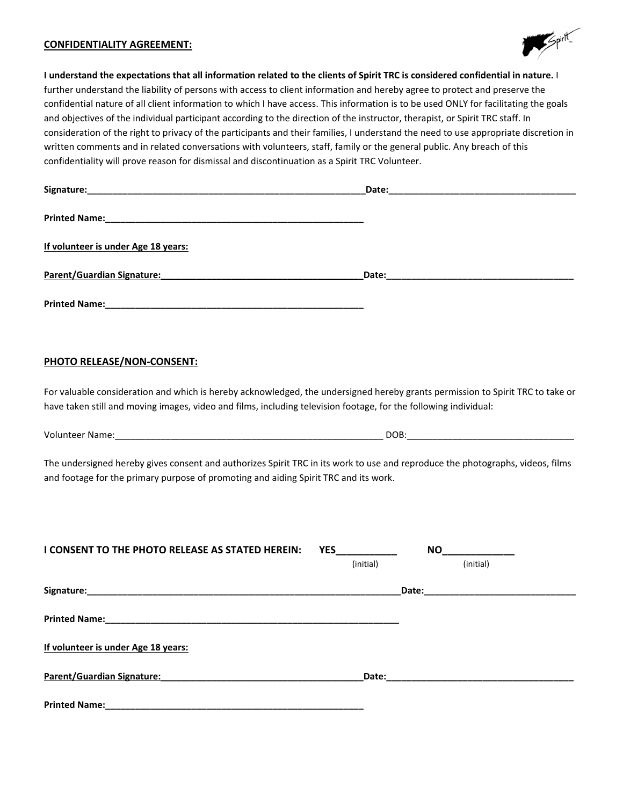#### **CONFIDENTIALITY AGREEMENT:**



I understand the expectations that all information related to the clients of Spirit TRC is considered confidential in nature. I further understand the liability of persons with access to client information and hereby agree to protect and preserve the confidential nature of all client information to which I have access. This information is to be used ONLY for facilitating the goals and objectives of the individual participant according to the direction of the instructor, therapist, or Spirit TRC staff. In consideration of the right to privacy of the participants and their families, I understand the need to use appropriate discretion in written comments and in related conversations with volunteers, staff, family or the general public. Any breach of this confidentiality will prove reason for dismissal and discontinuation as a Spirit TRC Volunteer.

| Signature:                                                                                                                                                                                                                                         |           |             |  |
|----------------------------------------------------------------------------------------------------------------------------------------------------------------------------------------------------------------------------------------------------|-----------|-------------|--|
|                                                                                                                                                                                                                                                    |           |             |  |
| If volunteer is under Age 18 years:                                                                                                                                                                                                                |           |             |  |
| Parent/Guardian Signature: Manual Communication of Date: Manual Communication of Parent/Guardian Signature:                                                                                                                                        |           |             |  |
|                                                                                                                                                                                                                                                    |           |             |  |
| <b>PHOTO RELEASE/NON-CONSENT:</b>                                                                                                                                                                                                                  |           |             |  |
| For valuable consideration and which is hereby acknowledged, the undersigned hereby grants permission to Spirit TRC to take or<br>have taken still and moving images, video and films, including television footage, for the following individual: |           |             |  |
|                                                                                                                                                                                                                                                    |           |             |  |
| The undersigned hereby gives consent and authorizes Spirit TRC in its work to use and reproduce the photographs, videos, films<br>and footage for the primary purpose of promoting and aiding Spirit TRC and its work.                             |           |             |  |
| I CONSENT TO THE PHOTO RELEASE AS STATED HEREIN:                                                                                                                                                                                                   | YES       |             |  |
|                                                                                                                                                                                                                                                    | (initial) | (initial)   |  |
|                                                                                                                                                                                                                                                    |           |             |  |
|                                                                                                                                                                                                                                                    |           |             |  |
| If volunteer is under Age 18 years:                                                                                                                                                                                                                |           |             |  |
| Parent/Guardian Signature: Management Control of the Parent Control of the Parent Control of the Parent Control of the Parent Control of the Parent Control of the Parent Control of the Parent Control of the Parent Control                      |           | Date: Date: |  |
| <b>Printed Name:</b>                                                                                                                                                                                                                               |           |             |  |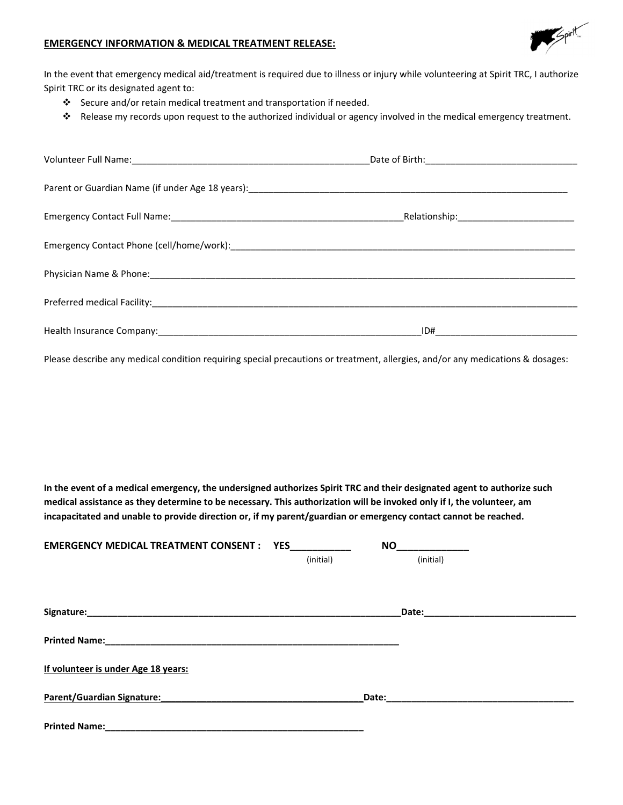

#### **EMERGENCY INFORMATION & MEDICAL TREATMENT RELEASE:**

In the event that emergency medical aid/treatment is required due to illness or injury while volunteering at Spirit TRC, I authorize Spirit TRC or its designated agent to:

- Secure and/or retain medical treatment and transportation if needed.
- Release my records upon request to the authorized individual or agency involved in the medical emergency treatment.

| Health Insurance Company: 1990 Manual Manual Manual Manual Manual Manual Manual Manual Manual Manual Manual Ma |  |
|----------------------------------------------------------------------------------------------------------------|--|

Please describe any medical condition requiring special precautions or treatment, allergies, and/or any medications & dosages:

In the event of a medical emergency, the undersigned authorizes Spirit TRC and their designated agent to authorize such medical assistance as they determine to be necessary. This authorization will be invoked only if I, the volunteer, am **incapacitated and unable to provide direction or, if my parent/guardian or emergency contact cannot be reached.**

| <b>EMERGENCY MEDICAL TREATMENT CONSENT : YES</b> |           | <b>NO</b> |  |
|--------------------------------------------------|-----------|-----------|--|
|                                                  | (initial) | (initial) |  |
|                                                  |           |           |  |
|                                                  |           |           |  |
|                                                  |           | Date:     |  |
|                                                  |           |           |  |
|                                                  |           |           |  |
|                                                  |           |           |  |
| If volunteer is under Age 18 years:              |           |           |  |
|                                                  |           |           |  |
| Parent/Guardian Signature:                       |           |           |  |
| <b>Printed Name:</b>                             |           |           |  |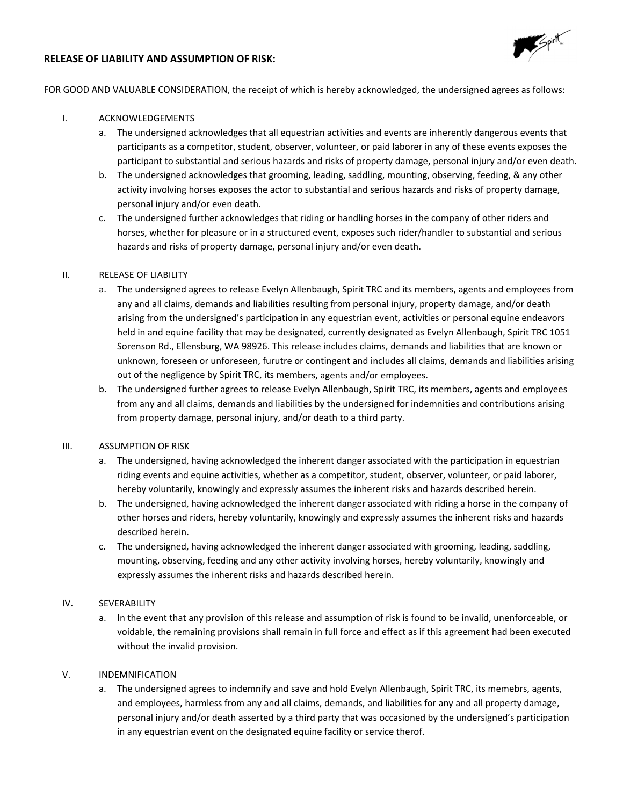

#### **RELEASE OF LIABILITY AND ASSUMPTION OF RISK:**

FOR GOOD AND VALUABLE CONSIDERATION, the receipt of which is hereby acknowledged, the undersigned agrees as follows:

#### I. ACKNOWLEDGEMENTS

- a. The undersigned acknowledges that all equestrian activities and events are inherently dangerous events that participants as a competitor, student, observer, volunteer, or paid laborer in any of these events exposes the participant to substantial and serious hazards and risks of property damage, personal injury and/or even death.
- b. The undersigned acknowledges that grooming, leading, saddling, mounting, observing, feeding, & any other activity involving horses exposes the actor to substantial and serious hazards and risks of property damage, personal injury and/or even death.
- c. The undersigned further acknowledges that riding or handling horses in the company of other riders and horses, whether for pleasure or in a structured event, exposes such rider/handler to substantial and serious hazards and risks of property damage, personal injury and/or even death.

#### II. RELEASE OF LIABILITY

- a. The undersigned agrees to release Evelyn Allenbaugh, Spirit TRC and its members, agents and employees from any and all claims, demands and liabilities resulting from personal injury, property damage, and/or death arising from the undersigned's participation in any equestrian event, activities or personal equine endeavors held in and equine facility that may be designated, currently designated as Evelyn Allenbaugh, Spirit TRC 1051 Sorenson Rd., Ellensburg, WA 98926. This release includes claims, demands and liabilities that are known or unknown, foreseen or unforeseen, furutre or contingent and includes all claims, demands and liabilities arising out of the negligence by Spirit TRC, its members, agents and/or employees.
- b. The undersigned further agrees to release Evelyn Allenbaugh, Spirit TRC, its members, agents and employees from any and all claims, demands and liabilities by the undersigned for indemnities and contributions arising from property damage, personal injury, and/or death to a third party.

#### III. ASSUMPTION OF RISK

- a. The undersigned, having acknowledged the inherent danger associated with the participation in equestrian riding events and equine activities, whether as a competitor, student, observer, volunteer, or paid laborer, hereby voluntarily, knowingly and expressly assumes the inherent risks and hazards described herein.
- b. The undersigned, having acknowledged the inherent danger associated with riding a horse in the company of other horses and riders, hereby voluntarily, knowingly and expressly assumes the inherent risks and hazards described herein.
- c. The undersigned, having acknowledged the inherent danger associated with grooming, leading, saddling, mounting, observing, feeding and any other activity involving horses, hereby voluntarily, knowingly and expressly assumes the inherent risks and hazards described herein.

#### IV. SEVERABILITY

a. In the event that any provision of this release and assumption of risk is found to be invalid, unenforceable, or voidable, the remaining provisions shall remain in full force and effect as if this agreement had been executed without the invalid provision.

#### V. INDEMNIFICATION

a. The undersigned agrees to indemnify and save and hold Evelyn Allenbaugh, Spirit TRC, its memebrs, agents, and employees, harmless from any and all claims, demands, and liabilities for any and all property damage, personal injury and/or death asserted by a third party that was occasioned by the undersigned's participation in any equestrian event on the designated equine facility or service therof.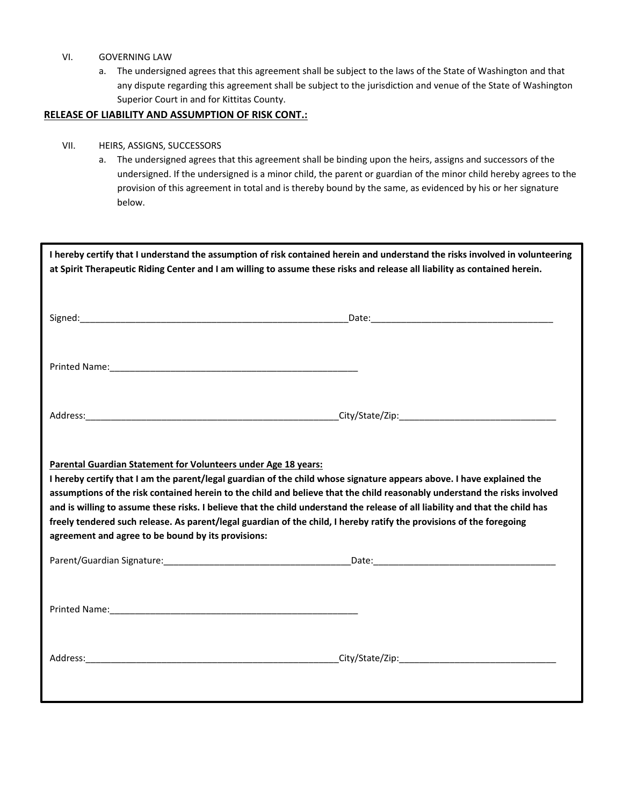#### VI. GOVERNING LAW

a. The undersigned agrees that this agreement shall be subject to the laws of the State of Washington and that any dispute regarding this agreement shall be subject to the jurisdiction and venue of the State of Washington Superior Court in and for Kittitas County.

#### **RELEASE OF LIABILITY AND ASSUMPTION OF RISK CONT.:**

#### VII. HEIRS, ASSIGNS, SUCCESSORS

a. The undersigned agrees that this agreement shall be binding upon the heirs, assigns and successors of the undersigned. If the undersigned is a minor child, the parent or guardian of the minor child hereby agrees to the provision of this agreement in total and is thereby bound by the same, as evidenced by his or her signature below.

| I hereby certify that I understand the assumption of risk contained herein and understand the risks involved in volunteering<br>at Spirit Therapeutic Riding Center and I am willing to assume these risks and release all liability as contained herein.                                                                                                                                                                                                                                                                                                                                                                           |  |  |  |  |
|-------------------------------------------------------------------------------------------------------------------------------------------------------------------------------------------------------------------------------------------------------------------------------------------------------------------------------------------------------------------------------------------------------------------------------------------------------------------------------------------------------------------------------------------------------------------------------------------------------------------------------------|--|--|--|--|
|                                                                                                                                                                                                                                                                                                                                                                                                                                                                                                                                                                                                                                     |  |  |  |  |
| Printed Name: Name: Name and Separate and Separate and Separate and Separate and Separate and Separate and Separate and Separate and Separate and Separate and Separate and Separate and Separate and Separate and Separate an                                                                                                                                                                                                                                                                                                                                                                                                      |  |  |  |  |
|                                                                                                                                                                                                                                                                                                                                                                                                                                                                                                                                                                                                                                     |  |  |  |  |
| Parental Guardian Statement for Volunteers under Age 18 years:<br>I hereby certify that I am the parent/legal guardian of the child whose signature appears above. I have explained the<br>assumptions of the risk contained herein to the child and believe that the child reasonably understand the risks involved<br>and is willing to assume these risks. I believe that the child understand the release of all liability and that the child has<br>freely tendered such release. As parent/legal guardian of the child, I hereby ratify the provisions of the foregoing<br>agreement and agree to be bound by its provisions: |  |  |  |  |
|                                                                                                                                                                                                                                                                                                                                                                                                                                                                                                                                                                                                                                     |  |  |  |  |
|                                                                                                                                                                                                                                                                                                                                                                                                                                                                                                                                                                                                                                     |  |  |  |  |
|                                                                                                                                                                                                                                                                                                                                                                                                                                                                                                                                                                                                                                     |  |  |  |  |